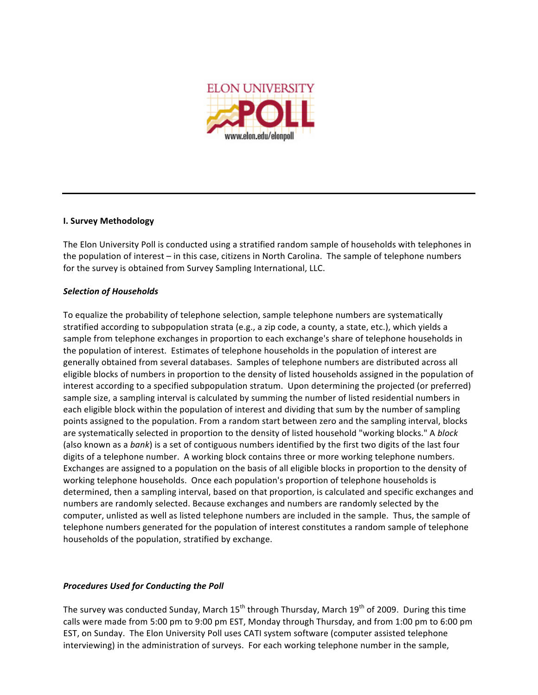

## **I. Survey Methodology**

The Elon University Poll is conducted using a stratified random sample of households with telephones in the population of interest – in this case, citizens in North Carolina. The sample of telephone numbers for the survey is obtained from Survey Sampling International, LLC.

#### *Selection of Households*

To equalize the probability of telephone selection, sample telephone numbers are systematically stratified according to subpopulation strata (e.g., a zip code, a county, a state, etc.), which yields a sample from telephone exchanges in proportion to each exchange's share of telephone households in the population of interest. Estimates of telephone households in the population of interest are generally obtained from several databases. Samples of telephone numbers are distributed across all eligible blocks of numbers in proportion to the density of listed households assigned in the population of interest according to a specified subpopulation stratum. Upon determining the projected (or preferred) sample size, a sampling interval is calculated by summing the number of listed residential numbers in each eligible block within the population of interest and dividing that sum by the number of sampling points assigned to the population. From a random start between zero and the sampling interval, blocks are systematically selected in proportion to the density of listed household "working blocks." A *block* (also known as a *bank*) is a set of contiguous numbers identified by the first two digits of the last four digits of a telephone number. A working block contains three or more working telephone numbers. Exchanges are assigned to a population on the basis of all eligible blocks in proportion to the density of working telephone households. Once each population's proportion of telephone households is determined, then a sampling interval, based on that proportion, is calculated and specific exchanges and numbers are randomly selected. Because exchanges and numbers are randomly selected by the computer, unlisted as well as listed telephone numbers are included in the sample. Thus, the sample of telephone numbers generated for the population of interest constitutes a random sample of telephone households of the population, stratified by exchange.

## *Procedures Used for Conducting the Poll*

The survey was conducted Sunday, March  $15^{th}$  through Thursday, March  $19^{th}$  of 2009. During this time calls were made from 5:00 pm to 9:00 pm EST, Monday through Thursday, and from 1:00 pm to 6:00 pm EST, on Sunday. The Elon University Poll uses CATI system software (computer assisted telephone interviewing) in the administration of surveys. For each working telephone number in the sample,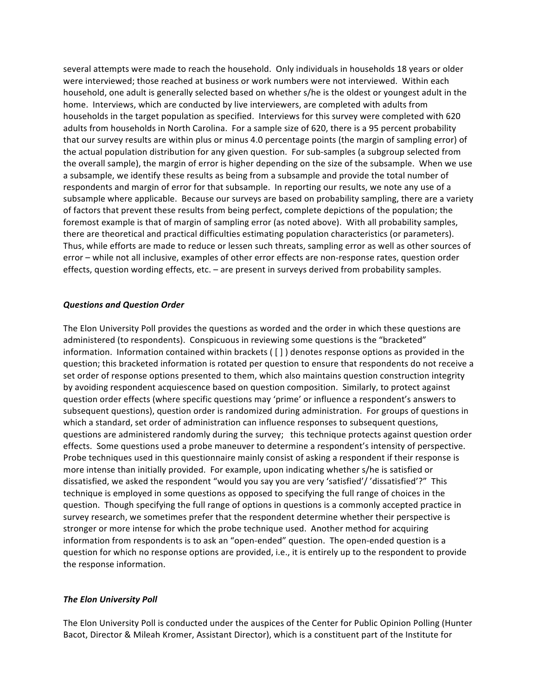several attempts were made to reach the household. Only individuals in households 18 years or older were interviewed; those reached at business or work numbers were not interviewed. Within each household, one adult is generally selected based on whether s/he is the oldest or youngest adult in the home. Interviews, which are conducted by live interviewers, are completed with adults from households in the target population as specified. Interviews for this survey were completed with 620 adults from households in North Carolina. For a sample size of 620, there is a 95 percent probability that our survey results are within plus or minus 4.0 percentage points (the margin of sampling error) of the actual population distribution for any given question. For sub‐samples (a subgroup selected from the overall sample), the margin of error is higher depending on the size of the subsample. When we use a subsample, we identify these results as being from a subsample and provide the total number of respondents and margin of error for that subsample. In reporting our results, we note any use of a subsample where applicable. Because our surveys are based on probability sampling, there are a variety of factors that prevent these results from being perfect, complete depictions of the population; the foremost example is that of margin of sampling error (as noted above). With all probability samples, there are theoretical and practical difficulties estimating population characteristics (or parameters). Thus, while efforts are made to reduce or lessen such threats, sampling error as well as other sources of error – while not all inclusive, examples of other error effects are non‐response rates, question order effects, question wording effects, etc. – are present in surveys derived from probability samples.

#### *Questions and Question Order*

The Elon University Poll provides the questions as worded and the order in which these questions are administered (to respondents). Conspicuous in reviewing some questions is the "bracketed" information. Information contained within brackets ( [ ] ) denotes response options as provided in the question; this bracketed information is rotated per question to ensure that respondents do not receive a set order of response options presented to them, which also maintains question construction integrity by avoiding respondent acquiescence based on question composition. Similarly, to protect against question order effects (where specific questions may 'prime' or influence a respondent's answers to subsequent questions), question order is randomized during administration. For groups of questions in which a standard, set order of administration can influence responses to subsequent questions, questions are administered randomly during the survey; this technique protects against question order effects. Some questions used a probe maneuver to determine a respondent's intensity of perspective. Probe techniques used in this questionnaire mainly consist of asking a respondent if their response is more intense than initially provided. For example, upon indicating whether s/he is satisfied or dissatisfied, we asked the respondent "would you say you are very 'satisfied'/ 'dissatisfied'?" This technique is employed in some questions as opposed to specifying the full range of choices in the question. Though specifying the full range of options in questions is a commonly accepted practice in survey research, we sometimes prefer that the respondent determine whether their perspective is stronger or more intense for which the probe technique used. Another method for acquiring information from respondents is to ask an "open-ended" question. The open-ended question is a question for which no response options are provided, i.e., it is entirely up to the respondent to provide the response information.

#### *The Elon University Poll*

The Elon University Poll is conducted under the auspices of the Center for Public Opinion Polling (Hunter Bacot, Director & Mileah Kromer, Assistant Director), which is a constituent part of the Institute for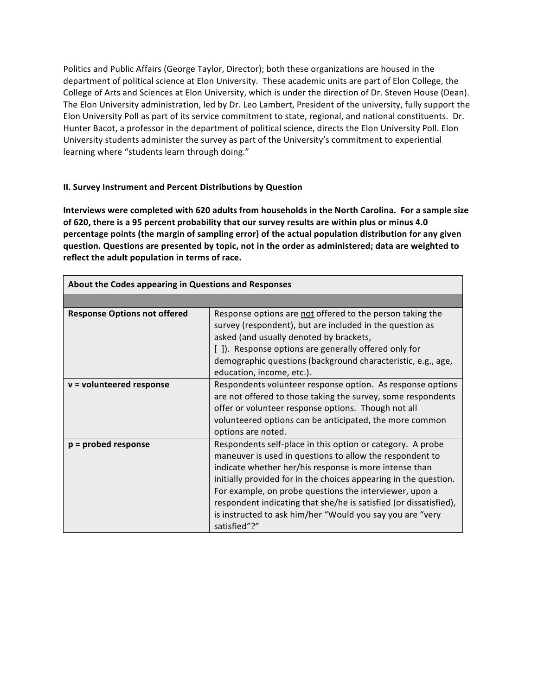Politics and Public Affairs (George Taylor, Director); both these organizations are housed in the department of political science at Elon University. These academic units are part of Elon College, the College of Arts and Sciences at Elon University, which is under the direction of Dr. Steven House (Dean). The Elon University administration, led by Dr. Leo Lambert, President of the university, fully support the Elon University Poll as part of its service commitment to state, regional, and national constituents. Dr. Hunter Bacot, a professor in the department of political science, directs the Elon University Poll. Elon University students administer the survey as part of the University's commitment to experiential learning where "students learn through doing."

## **II. Survey Instrument and Percent Distributions by Question**

**Interviews were completed with 620 adults from households in the North Carolina. For a sample size of 620, there is a 95 percent probability that our survey results are within plus or minus 4.0 percentage points (the margin of sampling error) of the actual population distribution for any given question. Questions are presented by topic, not in the order as administered; data are weighted to reflect the adult population in terms of race.**

|                                     | About the Codes appearing in Questions and Responses                                                                                                                                                                                                                                                                                                                                                                                                              |  |  |  |  |  |
|-------------------------------------|-------------------------------------------------------------------------------------------------------------------------------------------------------------------------------------------------------------------------------------------------------------------------------------------------------------------------------------------------------------------------------------------------------------------------------------------------------------------|--|--|--|--|--|
|                                     |                                                                                                                                                                                                                                                                                                                                                                                                                                                                   |  |  |  |  |  |
| <b>Response Options not offered</b> | Response options are not offered to the person taking the<br>survey (respondent), but are included in the question as<br>asked (and usually denoted by brackets,<br>[]). Response options are generally offered only for<br>demographic questions (background characteristic, e.g., age,<br>education, income, etc.).                                                                                                                                             |  |  |  |  |  |
| $v =$ volunteered response          | Respondents volunteer response option. As response options<br>are not offered to those taking the survey, some respondents<br>offer or volunteer response options. Though not all<br>volunteered options can be anticipated, the more common<br>options are noted.                                                                                                                                                                                                |  |  |  |  |  |
| $p =$ probed response               | Respondents self-place in this option or category. A probe<br>maneuver is used in questions to allow the respondent to<br>indicate whether her/his response is more intense than<br>initially provided for in the choices appearing in the question.<br>For example, on probe questions the interviewer, upon a<br>respondent indicating that she/he is satisfied (or dissatisfied),<br>is instructed to ask him/her "Would you say you are "very<br>satisfied"?" |  |  |  |  |  |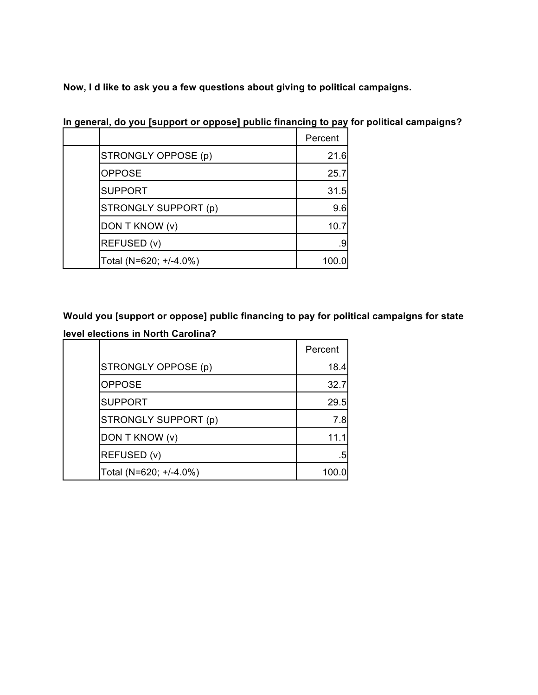**Now, I d like to ask you a few questions about giving to political campaigns.**

|                        | Percent |
|------------------------|---------|
| STRONGLY OPPOSE (p)    | 21.6    |
| <b>OPPOSE</b>          | 25.7    |
| <b>SUPPORT</b>         | 31.5    |
| STRONGLY SUPPORT (p)   | 9.6     |
| DON T KNOW (v)         | 10.7    |
| REFUSED (v)            | .9      |
| Total (N=620; +/-4.0%) | 100.0   |

**In general, do you [support or oppose] public financing to pay for political campaigns?**

# **Would you [support or oppose] public financing to pay for political campaigns for state level elections in North Carolina?**

|                        | Percent |
|------------------------|---------|
| STRONGLY OPPOSE (p)    | 18.4    |
| <b>OPPOSE</b>          | 32.7    |
| <b>SUPPORT</b>         | 29.5    |
| STRONGLY SUPPORT (p)   | 7.8     |
| DON T KNOW (v)         | 11.1    |
| REFUSED (v)            | .5      |
| Total (N=620; +/-4.0%) | 100.0   |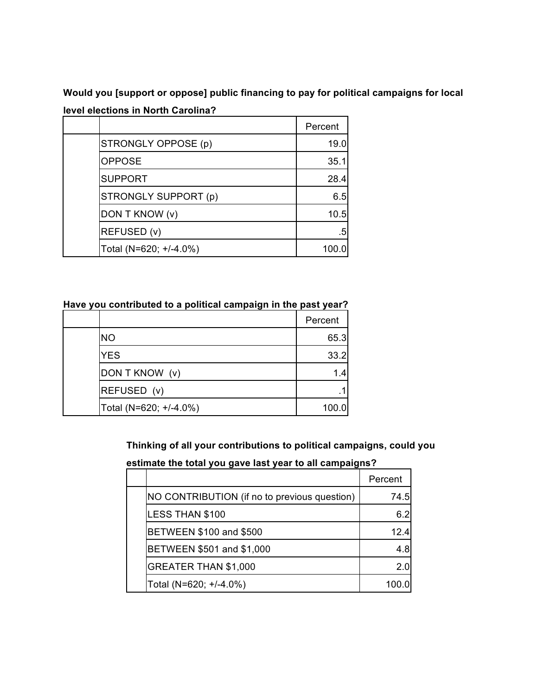**Would you [support or oppose] public financing to pay for political campaigns for local level elections in North Carolina?**

|                        | Percent |
|------------------------|---------|
| STRONGLY OPPOSE (p)    | 19.0    |
| <b>OPPOSE</b>          | 35.1    |
| <b>SUPPORT</b>         | 28.4    |
| STRONGLY SUPPORT (p)   | 6.5     |
| DON T KNOW (v)         | 10.5    |
| REFUSED (v)            | .5      |
| Total (N=620; +/-4.0%) | 100.0   |

**Have you contributed to a political campaign in the past year?**

|                        | Percent |
|------------------------|---------|
| <b>NO</b>              | 65.3    |
| <b>YES</b>             | 33.2    |
| DON T KNOW (v)         | 1.4     |
| REFUSED (v)            | .1      |
| Total (N=620; +/-4.0%) | 100.0   |

**Thinking of all your contributions to political campaigns, could you**

**estimate the total you gave last year to all campaigns?**

|                                              | Percent |
|----------------------------------------------|---------|
| NO CONTRIBUTION (if no to previous question) | 74.5    |
| <b>LESS THAN \$100</b>                       | 6.2     |
| <b>BETWEEN \$100 and \$500</b>               | 124     |
| BETWEEN \$501 and \$1,000                    | 4.8     |
| GREATER THAN \$1,000                         | 2 Q     |
| Total (N=620; +/-4.0%)                       |         |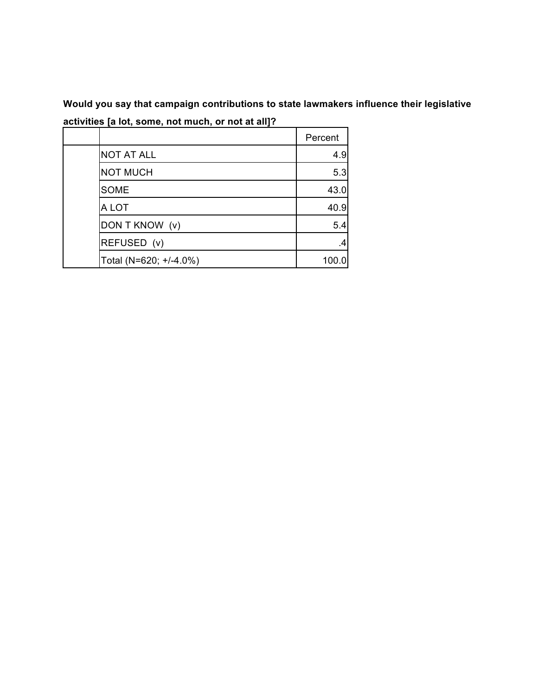**Would you say that campaign contributions to state lawmakers influence their legislative activities [a lot, some, not much, or not at all]?**

|                        | Percent |
|------------------------|---------|
| <b>NOT AT ALL</b>      | 4.9     |
| <b>NOT MUCH</b>        | 5.3     |
| <b>SOME</b>            | 43.0    |
| A LOT                  | 40.9    |
| DON T KNOW (v)         | 5.4     |
| REFUSED (v)            | .4      |
| Total (N=620; +/-4.0%) | 100.0   |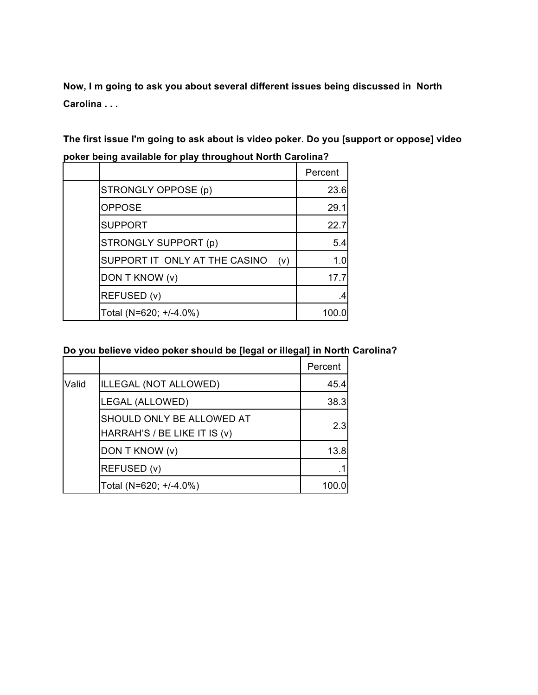**Now, I m going to ask you about several different issues being discussed in North Carolina . . .**

**The first issue I'm going to ask about is video poker. Do you [support or oppose] video poker being available for play throughout North Carolina?**

|                        |                               |     | Percent |
|------------------------|-------------------------------|-----|---------|
| STRONGLY OPPOSE (p)    |                               |     | 23.6    |
| <b>OPPOSE</b>          |                               |     | 29.1    |
| <b>SUPPORT</b>         |                               |     | 22.7    |
| STRONGLY SUPPORT (p)   |                               |     | 5.4     |
|                        | SUPPORT IT ONLY AT THE CASINO | (v) | 1.0     |
| DON T KNOW (v)         |                               |     | 17.7    |
| REFUSED (v)            |                               |     | .4      |
| Total (N=620; +/-4.0%) |                               |     | 100.0   |

|  |  |  |  | Do you believe video poker should be [legal or illegal] in North Carolina? |
|--|--|--|--|----------------------------------------------------------------------------|
|--|--|--|--|----------------------------------------------------------------------------|

|       |                                                           | Percent |
|-------|-----------------------------------------------------------|---------|
| Valid | ILLEGAL (NOT ALLOWED)                                     | 45.4    |
|       | LEGAL (ALLOWED)                                           | 38.3    |
|       | SHOULD ONLY BE ALLOWED AT<br>HARRAH'S / BE LIKE IT IS (v) | 2.3     |
|       | DON T KNOW (v)                                            | 13.8    |
|       | REFUSED (v)                                               |         |
|       | Total (N=620; +/-4.0%)                                    | 100.0   |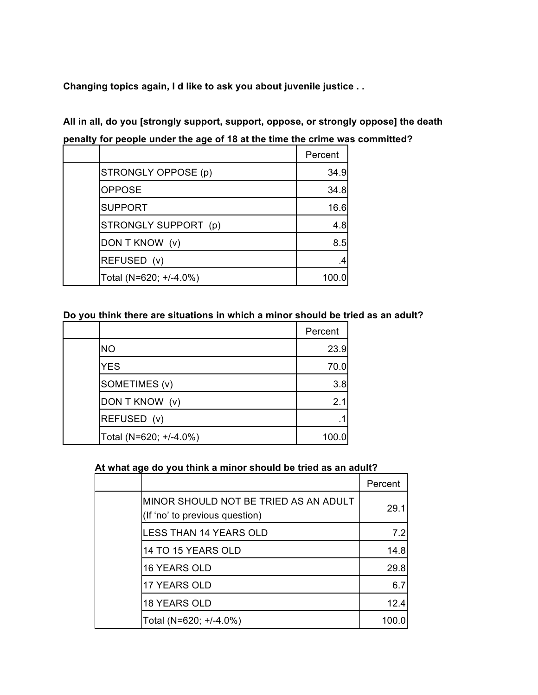**Changing topics again, I d like to ask you about juvenile justice . .**

| All in all, do you [strongly support, support, oppose, or strongly oppose] the death |  |  |  |  |  |
|--------------------------------------------------------------------------------------|--|--|--|--|--|
| penalty for people under the age of 18 at the time the crime was committed?          |  |  |  |  |  |

|                        | Percent |
|------------------------|---------|
| STRONGLY OPPOSE (p)    | 34.9    |
| <b>OPPOSE</b>          | 34.8    |
| <b>SUPPORT</b>         | 16.6    |
| STRONGLY SUPPORT (p)   | 4.8     |
| DON T KNOW (v)         | 8.5     |
| REFUSED (v)            |         |
| Total (N=620; +/-4.0%) | 100.0   |

# **Do you think there are situations in which a minor should be tried as an adult?**

|                        | Percent |
|------------------------|---------|
| <b>NO</b>              | 23.9    |
| <b>YES</b>             | 70.0    |
| SOMETIMES (v)          | 3.8     |
| DON T KNOW (v)         | 2.1     |
| REFUSED (v)            |         |
| Total (N=620; +/-4.0%) | 100.0   |

## **At what age do you think a minor should be tried as an adult?**

|                                                                         | Percent |
|-------------------------------------------------------------------------|---------|
| MINOR SHOULD NOT BE TRIED AS AN ADULT<br>(If 'no' to previous question) | 29.1    |
| <b>LESS THAN 14 YEARS OLD</b>                                           | 7.2     |
| 14 TO 15 YEARS OLD                                                      | 14.8    |
| 16 YEARS OLD                                                            | 29.8    |
| <b>17 YEARS OLD</b>                                                     | 6.7     |
| <b>18 YEARS OLD</b>                                                     | 12.4    |
| Total (N=620; +/-4.0%)                                                  | 100.0   |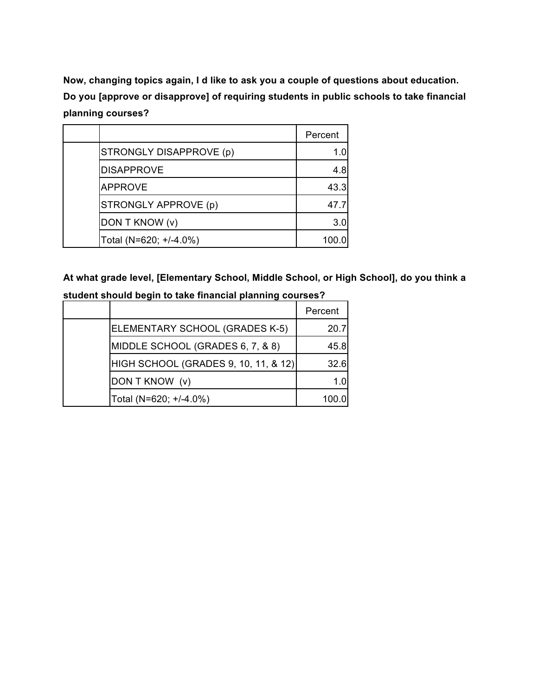**Now, changing topics again, I d like to ask you a couple of questions about education. Do you [approve or disapprove] of requiring students in public schools to take financial planning courses?**

|                         | Percent |
|-------------------------|---------|
| STRONGLY DISAPPROVE (p) | 1.0     |
| <b>DISAPPROVE</b>       | 4.8     |
| <b>APPROVE</b>          | 43.3    |
| STRONGLY APPROVE (p)    | 47.7    |
| DON T KNOW (v)          | 3.0     |
| Total (N=620; +/-4.0%)  | 100.0   |

**At what grade level, [Elementary School, Middle School, or High School], do you think a student should begin to take financial planning courses?**

|                                      | Percent |
|--------------------------------------|---------|
| ELEMENTARY SCHOOL (GRADES K-5)       | 20.7    |
| MIDDLE SCHOOL (GRADES 6, 7, & 8)     | 45.8    |
| HIGH SCHOOL (GRADES 9, 10, 11, & 12) | 32.6    |
| DON T KNOW (v)                       | 1.0     |
| Total (N=620; +/-4.0%)               | 100.0   |
|                                      |         |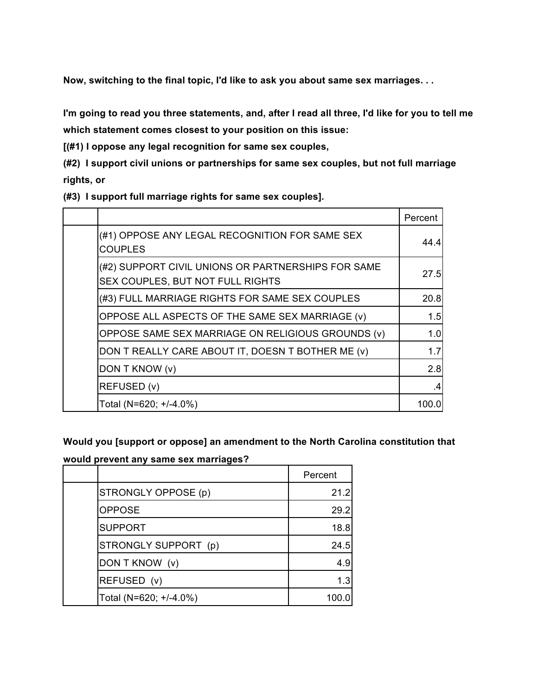**Now, switching to the final topic, I'd like to ask you about same sex marriages. . .**

I'm going to read you three statements, and, after I read all three, I'd like for you to tell me **which statement comes closest to your position on this issue:**

**[(#1) I oppose any legal recognition for same sex couples,**

**(#2) I support civil unions or partnerships for same sex couples, but not full marriage rights, or**

**(#3) I support full marriage rights for same sex couples].**

|                                                                                        | Percent |
|----------------------------------------------------------------------------------------|---------|
| (#1) OPPOSE ANY LEGAL RECOGNITION FOR SAME SEX<br><b>COUPLES</b>                       | 44.4    |
| (#2) SUPPORT CIVIL UNIONS OR PARTNERSHIPS FOR SAME<br>SEX COUPLES, BUT NOT FULL RIGHTS | 27.5    |
| (#3) FULL MARRIAGE RIGHTS FOR SAME SEX COUPLES                                         | 20.8    |
| OPPOSE ALL ASPECTS OF THE SAME SEX MARRIAGE (v)                                        | 1.5     |
| OPPOSE SAME SEX MARRIAGE ON RELIGIOUS GROUNDS (v)                                      | 1.0     |
| DON T REALLY CARE ABOUT IT, DOESN T BOTHER ME (v)                                      | 1.7     |
| DON T KNOW (v)                                                                         | 2.8     |
| REFUSED (v)                                                                            | .4      |
| Total (N=620; +/-4.0%)                                                                 | 100.0   |

**Would you [support or oppose] an amendment to the North Carolina constitution that**

**would prevent any same sex marriages?**

|                        | Percent |
|------------------------|---------|
| STRONGLY OPPOSE (p)    | 21.2    |
| <b>OPPOSE</b>          | 29.2    |
| <b>SUPPORT</b>         | 18.8    |
| STRONGLY SUPPORT (p)   | 24.5    |
| DON T KNOW (v)         | 4.9     |
| REFUSED (v)            | 1.3     |
| Total (N=620; +/-4.0%) | 100.0   |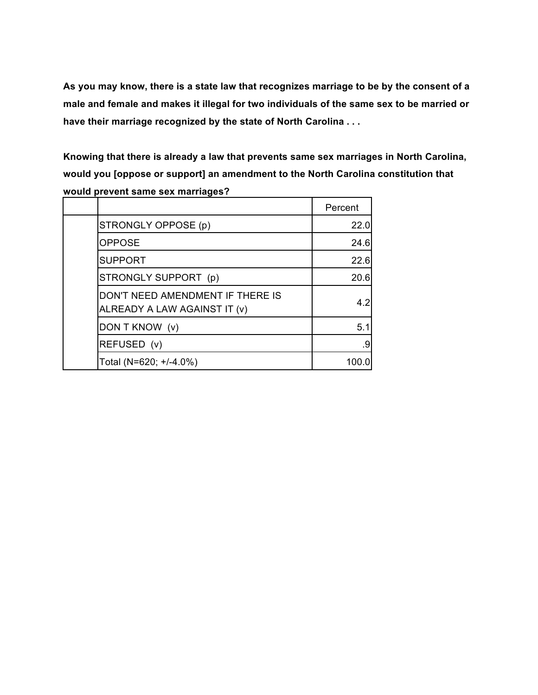**As you may know, there is a state law that recognizes marriage to be by the consent of a male and female and makes it illegal for two individuals of the same sex to be married or have their marriage recognized by the state of North Carolina . . .**

**Knowing that there is already a law that prevents same sex marriages in North Carolina, would you [oppose or support] an amendment to the North Carolina constitution that would prevent same sex marriages?**

|                                                                  | Percent |
|------------------------------------------------------------------|---------|
| STRONGLY OPPOSE (p)                                              | 22.0    |
| <b>OPPOSE</b>                                                    | 24.6    |
| <b>SUPPORT</b>                                                   | 22.6    |
| STRONGLY SUPPORT (p)                                             | 20.6    |
| DON'T NEED AMENDMENT IF THERE IS<br>ALREADY A LAW AGAINST IT (v) | 4.2     |
| DON T KNOW (v)                                                   | 5.1     |
| REFUSED (v)                                                      | .9      |
| Total (N=620; +/-4.0%)                                           | 100.0   |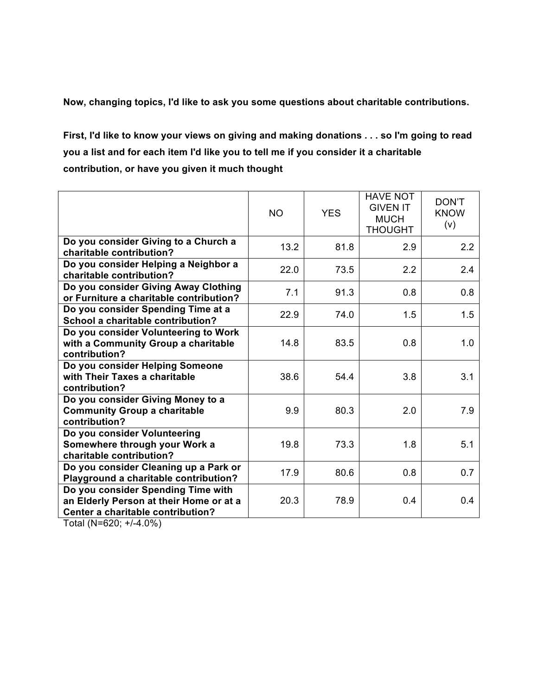**Now, changing topics, I'd like to ask you some questions about charitable contributions.**

First, I'd like to know your views on giving and making donations . . . so I'm going to read **you a list and for each item I'd like you to tell me if you consider it a charitable contribution, or have you given it much thought**

|                                                                                                                                                                                                                                                                                                                                                                                                                                                          | <b>NO</b> | <b>YES</b> | <b>HAVE NOT</b><br><b>GIVEN IT</b><br><b>MUCH</b><br><b>THOUGHT</b> | DON'T<br><b>KNOW</b><br>(v) |
|----------------------------------------------------------------------------------------------------------------------------------------------------------------------------------------------------------------------------------------------------------------------------------------------------------------------------------------------------------------------------------------------------------------------------------------------------------|-----------|------------|---------------------------------------------------------------------|-----------------------------|
| Do you consider Giving to a Church a<br>charitable contribution?                                                                                                                                                                                                                                                                                                                                                                                         | 13.2      | 81.8       | 2.9                                                                 | 2.2                         |
| Do you consider Helping a Neighbor a<br>charitable contribution?                                                                                                                                                                                                                                                                                                                                                                                         | 22.0      | 73.5       | 2.2                                                                 | 2.4                         |
| Do you consider Giving Away Clothing<br>or Furniture a charitable contribution?                                                                                                                                                                                                                                                                                                                                                                          | 7.1       | 91.3       | 0.8                                                                 | 0.8                         |
| Do you consider Spending Time at a<br>School a charitable contribution?                                                                                                                                                                                                                                                                                                                                                                                  | 22.9      | 74.0       | 1.5                                                                 | 1.5                         |
| Do you consider Volunteering to Work<br>with a Community Group a charitable<br>contribution?                                                                                                                                                                                                                                                                                                                                                             | 14.8      | 83.5       | 0.8                                                                 | 1.0                         |
| Do you consider Helping Someone<br>with Their Taxes a charitable<br>contribution?                                                                                                                                                                                                                                                                                                                                                                        | 38.6      | 54.4       | 3.8                                                                 | 3.1                         |
| Do you consider Giving Money to a<br><b>Community Group a charitable</b><br>contribution?                                                                                                                                                                                                                                                                                                                                                                | 9.9       | 80.3       | 2.0                                                                 | 7.9                         |
| Do you consider Volunteering<br>Somewhere through your Work a<br>charitable contribution?                                                                                                                                                                                                                                                                                                                                                                | 19.8      | 73.3       | 1.8                                                                 | 5.1                         |
| Do you consider Cleaning up a Park or<br>Playground a charitable contribution?                                                                                                                                                                                                                                                                                                                                                                           | 17.9      | 80.6       | 0.8                                                                 | 0.7                         |
| Do you consider Spending Time with<br>an Elderly Person at their Home or at a<br>Center a charitable contribution?<br>$\mathbf{1}$ $\mathbf{1}$ $\mathbf{1}$ $\mathbf{1}$ $\mathbf{1}$ $\mathbf{1}$ $\mathbf{1}$ $\mathbf{1}$ $\mathbf{1}$ $\mathbf{1}$ $\mathbf{1}$ $\mathbf{1}$ $\mathbf{1}$ $\mathbf{1}$ $\mathbf{1}$ $\mathbf{1}$ $\mathbf{1}$ $\mathbf{1}$ $\mathbf{1}$ $\mathbf{1}$ $\mathbf{1}$ $\mathbf{1}$ $\mathbf{1}$ $\mathbf{1}$ $\mathbf{$ | 20.3      | 78.9       | 0.4                                                                 | 0.4                         |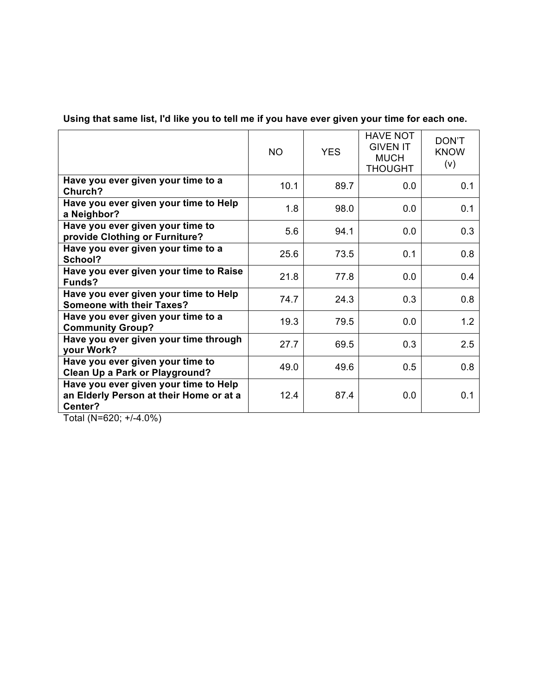Using that same list, I'd like you to tell me if you have ever given your time for each one.

|                                                                                                                | <b>NO</b> | <b>YES</b> | <b>HAVE NOT</b><br><b>GIVEN IT</b><br><b>MUCH</b><br><b>THOUGHT</b> | DON'T<br><b>KNOW</b><br>(v) |
|----------------------------------------------------------------------------------------------------------------|-----------|------------|---------------------------------------------------------------------|-----------------------------|
| Have you ever given your time to a<br>Church?                                                                  | 10.1      | 89.7       | 0.0                                                                 | 0.1                         |
| Have you ever given your time to Help<br>a Neighbor?                                                           | 1.8       | 98.0       | 0.0                                                                 | 0.1                         |
| Have you ever given your time to<br>provide Clothing or Furniture?                                             | 5.6       | 94.1       | 0.0                                                                 | 0.3                         |
| Have you ever given your time to a<br>School?                                                                  | 25.6      | 73.5       | 0.1                                                                 | 0.8                         |
| Have you ever given your time to Raise<br>Funds?                                                               | 21.8      | 77.8       | 0.0                                                                 | 0.4                         |
| Have you ever given your time to Help<br><b>Someone with their Taxes?</b>                                      | 74.7      | 24.3       | 0.3                                                                 | 0.8                         |
| Have you ever given your time to a<br><b>Community Group?</b>                                                  | 19.3      | 79.5       | 0.0                                                                 | 1.2                         |
| Have you ever given your time through<br>your Work?                                                            | 27.7      | 69.5       | 0.3                                                                 | 2.5                         |
| Have you ever given your time to<br><b>Clean Up a Park or Playground?</b>                                      | 49.0      | 49.6       | 0.5                                                                 | 0.8                         |
| Have you ever given your time to Help<br>an Elderly Person at their Home or at a<br>Center?<br>$(1,0)$ $(2,0)$ | 12.4      | 87.4       | 0.0                                                                 | 0.1                         |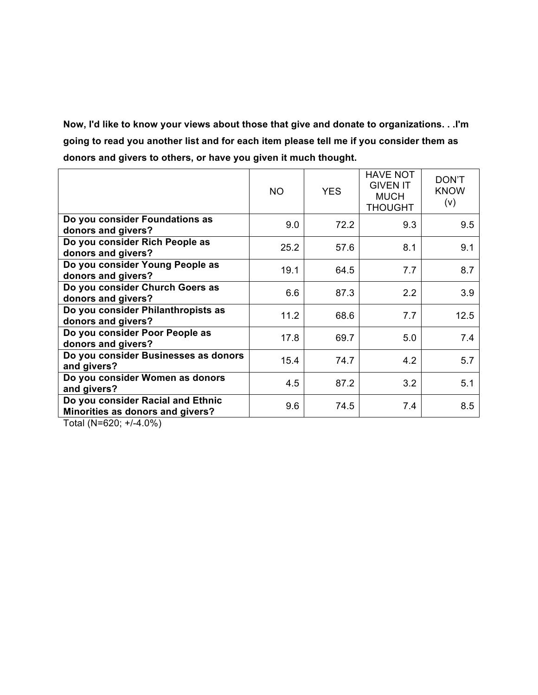**Now, I'd like to know your views about those that give and donate to organizations. . .I'm going to read you another list and for each item please tell me if you consider them as donors and givers to others, or have you given it much thought.**

|                                                                       | <b>NO</b> | <b>YES</b> | <b>HAVE NOT</b><br><b>GIVEN IT</b><br><b>MUCH</b><br><b>THOUGHT</b> | DON'T<br><b>KNOW</b><br>(v) |
|-----------------------------------------------------------------------|-----------|------------|---------------------------------------------------------------------|-----------------------------|
| Do you consider Foundations as<br>donors and givers?                  | 9.0       | 72.2       | 9.3                                                                 | 9.5                         |
| Do you consider Rich People as<br>donors and givers?                  | 25.2      | 57.6       | 8.1                                                                 | 9.1                         |
| Do you consider Young People as<br>donors and givers?                 | 19.1      | 64.5       | 7.7                                                                 | 8.7                         |
| Do you consider Church Goers as<br>donors and givers?                 | 6.6       | 87.3       | 2.2                                                                 | 3.9                         |
| Do you consider Philanthropists as<br>donors and givers?              | 11.2      | 68.6       | 7.7                                                                 | 12.5                        |
| Do you consider Poor People as<br>donors and givers?                  | 17.8      | 69.7       | 5.0                                                                 | 7.4                         |
| Do you consider Businesses as donors<br>and givers?                   | 15.4      | 74.7       | 4.2                                                                 | 5.7                         |
| Do you consider Women as donors<br>and givers?                        | 4.5       | 87.2       | 3.2                                                                 | 5.1                         |
| Do you consider Racial and Ethnic<br>Minorities as donors and givers? | 9.6       | 74.5       | 7.4                                                                 | 8.5                         |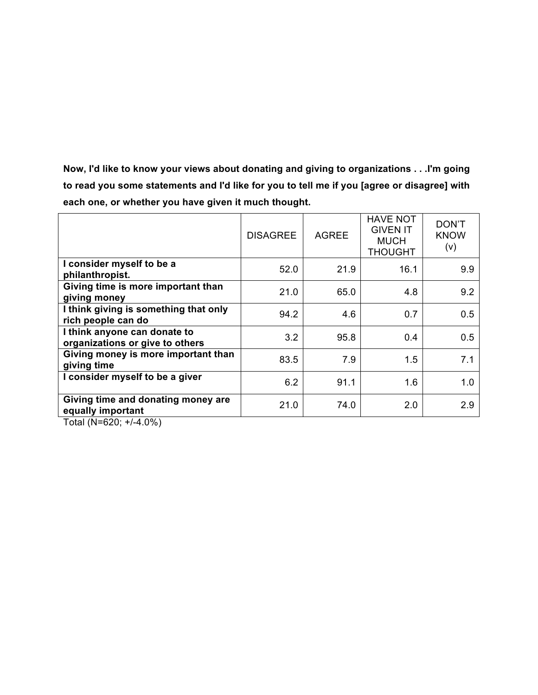**Now, I'd like to know your views about donating and giving to organizations . . .I'm going to read you some statements and I'd like for you to tell me if you [agree or disagree] with each one, or whether you have given it much thought.**

|                                                                 | <b>DISAGREE</b> | <b>AGREE</b> | <b>HAVE NOT</b><br><b>GIVEN IT</b><br><b>MUCH</b><br><b>THOUGHT</b> | DON'T<br><b>KNOW</b><br>(v) |
|-----------------------------------------------------------------|-----------------|--------------|---------------------------------------------------------------------|-----------------------------|
| I consider myself to be a<br>philanthropist.                    | 52.0            | 21.9         | 16.1                                                                | 9.9                         |
| Giving time is more important than<br>giving money              | 21.0            | 65.0         | 4.8                                                                 | 9.2                         |
| I think giving is something that only<br>rich people can do     | 94.2            | 4.6          | 0.7                                                                 | 0.5                         |
| I think anyone can donate to<br>organizations or give to others | 3.2             | 95.8         | 0.4                                                                 | 0.5                         |
| Giving money is more important than<br>giving time              | 83.5            | 7.9          | 1.5                                                                 | 7.1                         |
| I consider myself to be a giver                                 | 6.2             | 91.1         | 1.6                                                                 | 1.0                         |
| Giving time and donating money are<br>equally important         | 21.0            | 74.0         | 2.0                                                                 | 2.9                         |